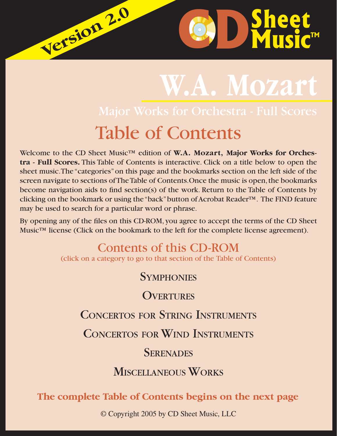# **W.A. Mozart** Table of Contents

 $\bullet$  **D** Sheet

Welcome to the CD Sheet Music™ edition of **W.A. Mozart, Major Works for Orchestra - Full Scores.** This Table of Contents is interactive. Click on a title below to open the sheet music. The "categories" on this page and the bookmarks section on the left side of the screen navigate to sections of The Table of Contents.Once the music is open, the bookmarks become navigation aids to find section(s) of the work. Return to the Table of Contents by clicking on the bookmark or using the "back" button of Acrobat Reader™. The FIND feature may be used to search for a particular word or phrase.

**Version 2.0 Version 2.0**

By opening any of the files on this CD-ROM, you agree to accept the terms of the CD Sheet Music™ license (Click on the bookmark to the left for the complete license agreement).

# Contents of this CD-ROM

(click on a category to go to that section of the Table of Contents)

**S[YMPHONIES](#page-1-0)** 

**O[VERTURES](#page-3-0)** 

## CONCERTOS FOR STRING I[NSTRUMENTS](#page-4-0)

CONCERTOS FOR WIND I[NSTRUMENTS](#page-4-0)

### **S[ERENADES](#page-5-0)**

## M[ISCELLANEOUS](#page-6-0) WORKS

#### **The complete Table of Contents begins on the next page**

© Copyright 2005 by CD Sheet Music, LLC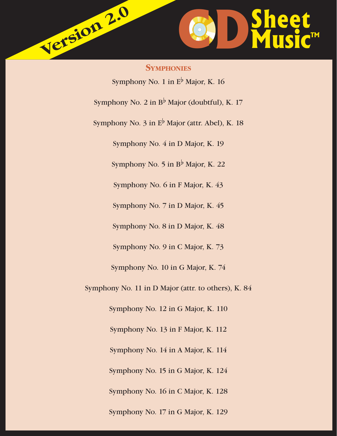<span id="page-1-0"></span>

**SYMPHONIES** Symphony No. 1 in E<sup>b</sup> Major, K. 16 Symphony No. 2 in  $B^{\flat}$  Major (doubtful), K. 17 Symphony No. 3 in  $E^{\flat}$  Major (attr. Abel), K. 18 Symphony No. 4 in D Major, K. 19 Symphony No. 5 in  $B^{\flat}$  Major, K. 22 Symphony No. 6 in F Major, K. 43 Symphony No. 7 in D Major, K. 45 Symphony No. 8 in D Major, K. 48 Symphony No. 9 in C Major, K. 73 Symphony No. 10 in G Major, K. 74 Symphony No. 11 in D Major (attr. to others), K. 84 Symphony No. 12 in G Major, K. 110 Symphony No. 13 in F Major, K. 112 Symphony No. 14 in A Major, K. 114 Symphony No. 15 in G Major, K. 124 Symphony No. 16 in C Major, K. 128 Symphony No. 17 in G Major, K. 129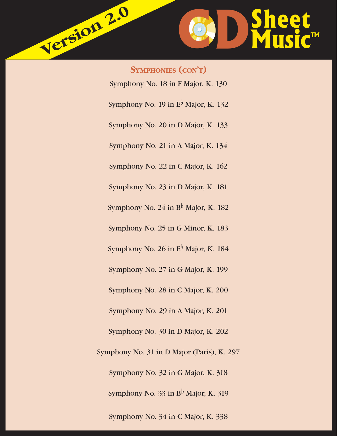

**SYMPHONIES (CON'T)** Symphony No. 18 in F Major, K. 130 Symphony No. 19 in  $E^{\flat}$  Major, K. 132 Symphony No. 20 in D Major, K. 133 Symphony No. 21 in A Major, K. 134 Symphony No. 22 in C Major, K. 162 Symphony No. 23 in D Major, K. 181 Symphony No. 24 in  $B^{\flat}$  Major, K. 182 Symphony No. 25 in G Minor, K. 183 Symphony No. 26 in E<sup>b</sup> Major, K. 184 Symphony No. 27 in G Major, K. 199 Symphony No. 28 in C Major, K. 200 Symphony No. 29 in A Major, K. 201 Symphony No. 30 in D Major, K. 202 Symphony No. 31 in D Major (Paris), K. 297 Symphony No. 32 in G Major, K. 318 Symphony No. 33 in  $B^{\flat}$  Major, K. 319 Symphony No. 34 in C Major, K. 338

**Version 2.0**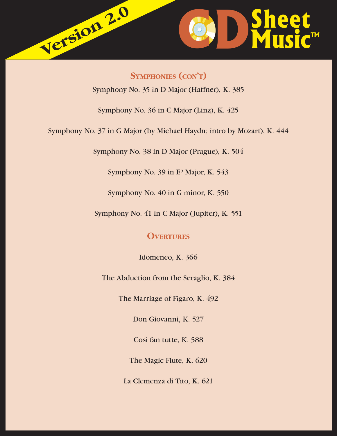<span id="page-3-0"></span>

**SYMPHONIES (CON'T)**

Symphony No. 35 in D Major (Haffner), K. 385

Symphony No. 36 in C Major (Linz), K. 425

Symphony No. 37 in G Major (by Michael Haydn; intro by Mozart), K. 444

Symphony No. 38 in D Major (Prague), K. 504

Symphony No. 39 in  $E^{\flat}$  Major, K. 543

Symphony No. 40 in G minor, K. 550

Symphony No. 41 in C Major (Jupiter), K. 551

#### **OVERTURES**

Idomeneo, K. 366

The Abduction from the Seraglio, K. 384

The Marriage of Figaro, K. 492

Don Giovanni, K. 527

Così fan tutte, K. 588

The Magic Flute, K. 620

La Clemenza di Tito, K. 621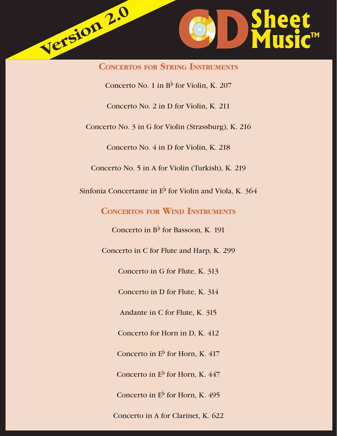<span id="page-4-0"></span>

**CONCERTOS FOR STRING INSTRUMENTS** Concerto No. 1 in  $B^{\flat}$  for Violin, K. 207 Concerto No. 2 in D for Violin, K. 211 Concerto No. 3 in G for Violin (Strassburg), K. 216 Concerto No. 4 in D for Violin, K. 218 Concerto No. 5 in A for Violin (Turkish), K. 219 Sinfonia Concertante in  $E^{\flat}$  for Violin and Viola, K. 364 **CONCERTOS FOR WIND INSTRUMENTS** Concerto in  $B^{\flat}$  for Bassoon, K. 191 Concerto in C for Flute and Harp, K. 299 Concerto in G for Flute, K. 313 Concerto in D for Flute, K. 314 Andante in C for Flute, K. 315 Concerto for Horn in D, K. 412 Concerto in  $E^{\flat}$  for Horn, K. 417 Concerto in  $E^{\flat}$  for Horn, K. 447 Concerto in  $E^{\flat}$  for Horn, K. 495 Concerto in A for Clarinet, K. 622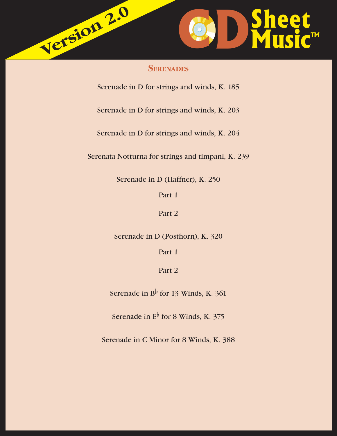<span id="page-5-0"></span>

#### **SERENADES**

Serenade in D for strings and winds, K. 185

Serenade in D for strings and winds, K. 203

Serenade in D for strings and winds, K. 204

Serenata Notturna for strings and timpani, K. 239

Serenade in D (Haffner), K. 250

Part 1

Part 2

Serenade in D (Posthorn), K. 320

Part 1

Part 2

Serenade in  $B^{\flat}$  for 13 Winds, K. 361

Serenade in  $E^{\flat}$  for 8 Winds, K. 375

Serenade in C Minor for 8 Winds, K. 388